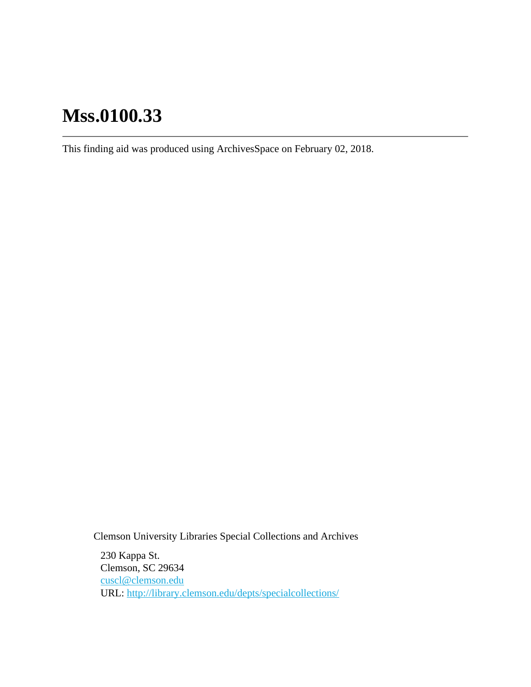# **Mss.0100.33**

This finding aid was produced using ArchivesSpace on February 02, 2018.

Clemson University Libraries Special Collections and Archives

230 Kappa St. Clemson, SC 29634 [cuscl@clemson.edu](mailto:cuscl@clemson.edu) URL:<http://library.clemson.edu/depts/specialcollections/>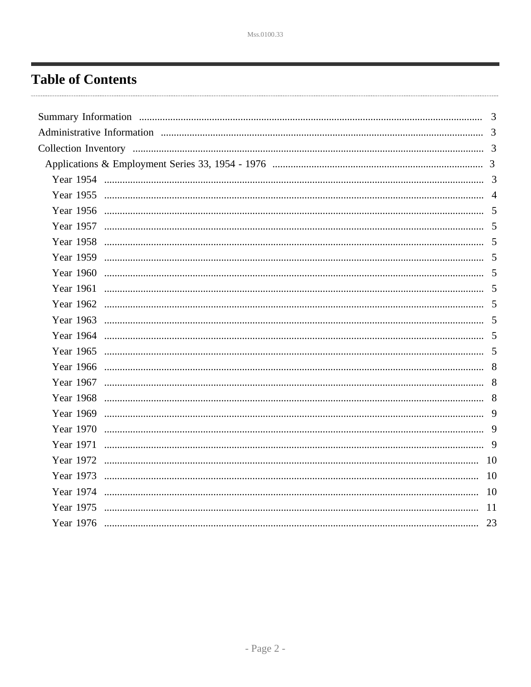## <span id="page-1-0"></span>**Table of Contents**

|  | 3             |
|--|---------------|
|  |               |
|  |               |
|  |               |
|  |               |
|  |               |
|  |               |
|  |               |
|  |               |
|  |               |
|  |               |
|  |               |
|  |               |
|  |               |
|  |               |
|  |               |
|  |               |
|  |               |
|  |               |
|  |               |
|  |               |
|  |               |
|  |               |
|  | 10            |
|  | <sup>10</sup> |
|  | <sup>11</sup> |
|  | 23            |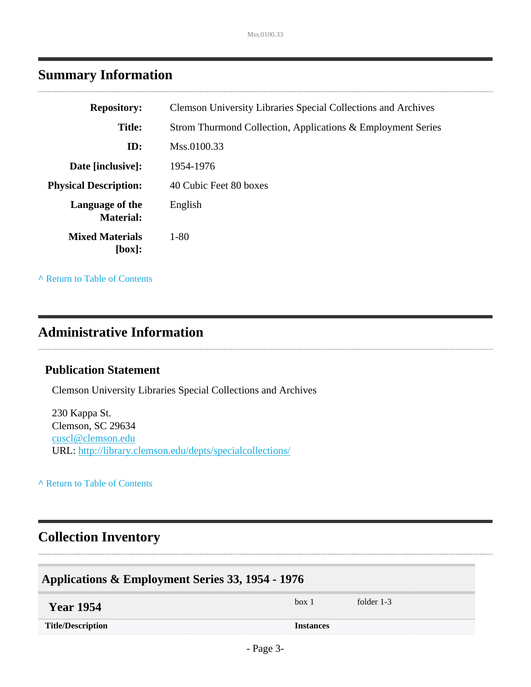<span id="page-2-0"></span>

|  | <b>Summary Information</b> |
|--|----------------------------|
|--|----------------------------|

| <b>Repository:</b>                  | <b>Clemson University Libraries Special Collections and Archives</b> |
|-------------------------------------|----------------------------------------------------------------------|
| <b>Title:</b>                       | Strom Thurmond Collection, Applications & Employment Series          |
| ID:                                 | Mss.0100.33                                                          |
| Date [inclusive]:                   | 1954-1976                                                            |
| <b>Physical Description:</b>        | 40 Cubic Feet 80 boxes                                               |
| Language of the<br><b>Material:</b> | English                                                              |
| <b>Mixed Materials</b><br>[box]:    | $1 - 80$                                                             |

**^** [Return to Table of Contents](#page-1-0)

#### <span id="page-2-1"></span>**Administrative Information**

#### **Publication Statement**

Clemson University Libraries Special Collections and Archives

230 Kappa St. Clemson, SC 29634 [cuscl@clemson.edu](mailto:cuscl@clemson.edu) URL:<http://library.clemson.edu/depts/specialcollections/>

**^** [Return to Table of Contents](#page-1-0)

### <span id="page-2-2"></span>**Collection Inventory**

<span id="page-2-4"></span><span id="page-2-3"></span>

| Applications & Employment Series 33, 1954 - 1976 |                  |            |  |  |
|--------------------------------------------------|------------------|------------|--|--|
| <b>Year 1954</b>                                 | box 1            | folder 1-3 |  |  |
| <b>Title/Description</b>                         | <b>Instances</b> |            |  |  |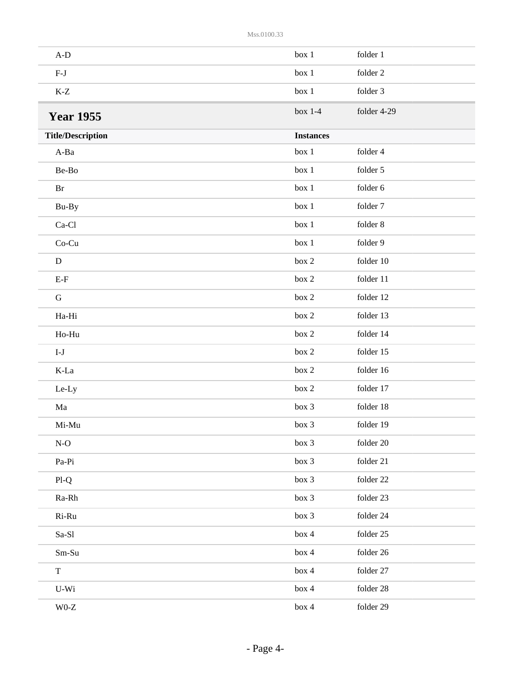<span id="page-3-0"></span>

| $A-D$                          | box 1            | folder 1    |
|--------------------------------|------------------|-------------|
| $F-J$                          | box 1            | folder 2    |
| $\mbox{K-}\mathbb{Z}$          | box 1            | folder 3    |
| <b>Year 1955</b>               | box $1-4$        | folder 4-29 |
| <b>Title/Description</b>       | <b>Instances</b> |             |
| A-Ba                           | box 1            | folder 4    |
| Be-Bo                          | box 1            | folder 5    |
| $\rm Br$                       | box 1            | folder 6    |
| Bu-By                          | box 1            | folder 7    |
| $Ca-C1$                        | box 1            | folder 8    |
| Co-Cu                          | box 1            | folder 9    |
| ${\bf D}$                      | box 2            | folder 10   |
| $E-F$                          | box 2            | folder 11   |
| ${\bf G}$                      | box 2            | folder 12   |
| Ha-Hi                          | box 2            | folder 13   |
| Ho-Hu                          | box 2            | folder 14   |
| $\mathbf{I}\text{-}\mathbf{J}$ | box 2            | folder 15   |
| $K-La$                         | box 2            | folder 16   |
| Le-Ly                          | box 2            | folder 17   |
| Ma                             | box 3            | folder 18   |
| $Mi-Mu$                        | box 3            | folder 19   |
| $N-O$                          | box 3            | folder 20   |
| Pa-Pi                          | box 3            | folder 21   |
| $Pl-Q$                         | box 3            | folder 22   |
| Ra-Rh                          | box 3            | folder 23   |
| Ri-Ru                          | box 3            | folder 24   |
| $Sa-S1$                        | box 4            | folder 25   |
| $Sm-Su$                        | box 4            | folder 26   |
| $\mathbf T$                    | box 4            | folder 27   |
| $U-Wi$                         | box 4            | folder 28   |
| $\rm W0\text{-}Z$              | box 4            | folder 29   |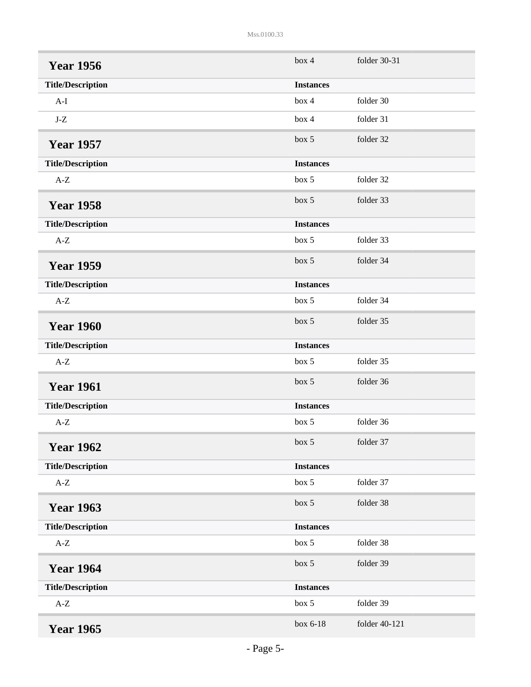<span id="page-4-9"></span><span id="page-4-8"></span><span id="page-4-7"></span><span id="page-4-6"></span><span id="page-4-5"></span><span id="page-4-4"></span><span id="page-4-3"></span><span id="page-4-2"></span><span id="page-4-1"></span><span id="page-4-0"></span>

| <b>Year 1956</b>         | box 4            | folder 30-31  |
|--------------------------|------------------|---------------|
| <b>Title/Description</b> | <b>Instances</b> |               |
| $A-I$                    | box 4            | folder 30     |
| $J-Z$                    | box 4            | folder 31     |
| <b>Year 1957</b>         | box 5            | folder 32     |
| <b>Title/Description</b> | <b>Instances</b> |               |
| $A-Z$                    | box 5            | folder 32     |
| <b>Year 1958</b>         | box 5            | folder 33     |
| <b>Title/Description</b> | <b>Instances</b> |               |
| $A-Z$                    | box 5            | folder 33     |
| <b>Year 1959</b>         | box 5            | folder 34     |
| <b>Title/Description</b> | <b>Instances</b> |               |
| $A-Z$                    | box 5            | folder 34     |
| <b>Year 1960</b>         | box 5            | folder 35     |
| <b>Title/Description</b> | <b>Instances</b> |               |
| $A-Z$                    | box 5            | folder 35     |
| <b>Year 1961</b>         | box 5            | folder 36     |
| <b>Title/Description</b> | <b>Instances</b> |               |
| $A-Z$                    | box 5            | folder 36     |
| <b>Year 1962</b>         | box~5            | folder 37     |
| <b>Title/Description</b> | <b>Instances</b> |               |
| $\mbox{A-Z}$             | box 5            | folder 37     |
| <b>Year 1963</b>         | box 5            | folder 38     |
| <b>Title/Description</b> | <b>Instances</b> |               |
| $A-Z$                    | box 5            | folder 38     |
| <b>Year 1964</b>         | box 5            | folder 39     |
| <b>Title/Description</b> | <b>Instances</b> |               |
| $A-Z$                    | box 5            | folder 39     |
| <b>Year 1965</b>         | box 6-18         | folder 40-121 |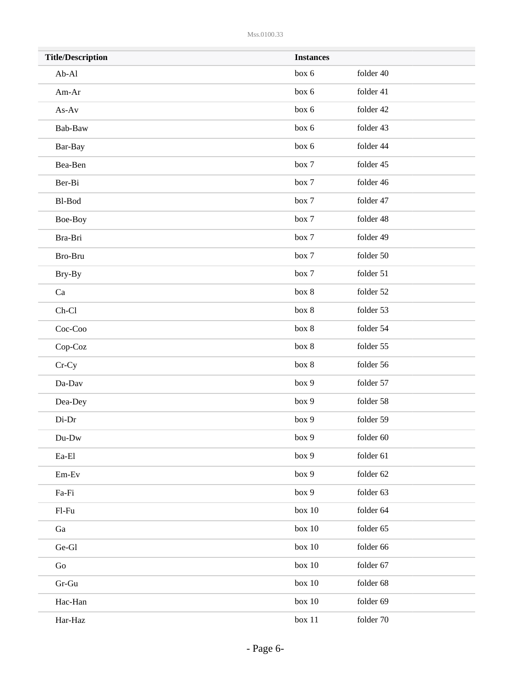| <b>Title/Description</b> | <b>Instances</b> |           |  |
|--------------------------|------------------|-----------|--|
| $Ab-Al$                  | box 6            | folder 40 |  |
| Am-Ar                    | box 6            | folder 41 |  |
| $As-Av$                  | box 6            | folder 42 |  |
| Bab-Baw                  | box 6            | folder 43 |  |
| Bar-Bay                  | box 6            | folder 44 |  |
| Bea-Ben                  | box 7            | folder 45 |  |
| Ber-Bi                   | box 7            | folder 46 |  |
| Bl-Bod                   | box 7            | folder 47 |  |
| Boe-Boy                  | box 7            | folder 48 |  |
| Bra-Bri                  | box 7            | folder 49 |  |
| Bro-Bru                  | box 7            | folder 50 |  |
| Bry-By                   | box 7            | folder 51 |  |
| Ca                       | box 8            | folder 52 |  |
| $Ch-C1$                  | box 8            | folder 53 |  |
| Coc-Coo                  | box 8            | folder 54 |  |
| Cop-Coz                  | box 8            | folder 55 |  |
| $Cr-Cy$                  | box 8            | folder 56 |  |
| Da-Dav                   | box 9            | folder 57 |  |
| Dea-Dey                  | box 9            | folder 58 |  |
| Di-Dr                    | box 9            | folder 59 |  |
| Du-Dw                    | box 9            | folder 60 |  |
| $\rm{E}a\text{-}El$      | box 9            | folder 61 |  |
| $Em-Ev$                  | box 9            | folder 62 |  |
| Fa-Fi                    | box 9            | folder 63 |  |
| $F1-Fu$                  | box $10$         | folder 64 |  |
| Ga                       | box $10$         | folder 65 |  |
| Ge-Gl                    | box $10$         | folder 66 |  |
| Go                       | box 10           | folder 67 |  |
| $Gr-Gu$                  | box 10           | folder 68 |  |
| Hac-Han                  | box 10           | folder 69 |  |
| Har-Haz                  | box 11           | folder 70 |  |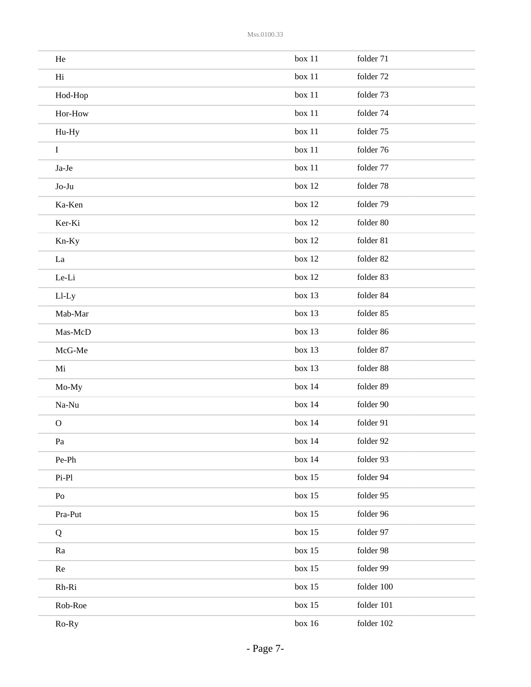| He             | box 11   | folder 71  |
|----------------|----------|------------|
| Hi             | box 11   | folder 72  |
| Hod-Hop        | box 11   | folder 73  |
| Hor-How        | box 11   | folder 74  |
| Hu-Hy          | box 11   | folder 75  |
| $\mathbf I$    | box 11   | folder 76  |
| Ja-Je          | box 11   | folder 77  |
| Jo-Ju          | box 12   | folder 78  |
| Ka-Ken         | box 12   | folder 79  |
| Ker-Ki         | box 12   | folder 80  |
| Kn-Ky          | box 12   | folder 81  |
| La             | box 12   | folder 82  |
| Le-Li          | box 12   | folder 83  |
| Ll-Ly          | box 13   | folder 84  |
| Mab-Mar        | box 13   | folder 85  |
| Mas-McD        | box 13   | folder 86  |
| McG-Me         | box 13   | folder 87  |
| Mi             | box 13   | folder 88  |
| Mo-My          | box 14   | folder 89  |
| Na-Nu          | box 14   | folder 90  |
| $\mathbf{O}$   | box 14   | folder 91  |
| Pa             | box 14   | folder 92  |
| Pe-Ph          | box 14   | folder 93  |
| $Pi-Pl$        | box $15$ | folder 94  |
| P <sub>O</sub> | box $15$ | folder 95  |
| Pra-Put        | box $15$ | folder 96  |
| Q              | box $15$ | folder 97  |
| Ra             | box $15$ | folder 98  |
| Re             | box $15$ | folder 99  |
| Rh-Ri          | box $15$ | folder 100 |
| Rob-Roe        | box $15$ | folder 101 |
| Ro-Ry          | box $16$ | folder 102 |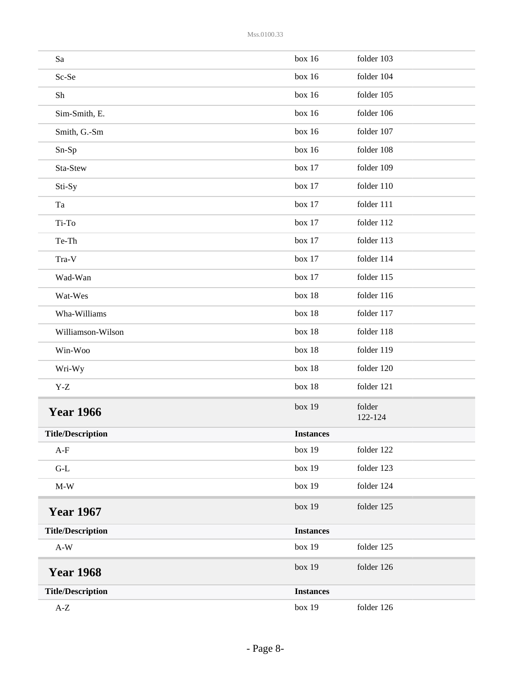<span id="page-7-2"></span><span id="page-7-1"></span><span id="page-7-0"></span>

| Sa                             | box 16           | folder 103        |
|--------------------------------|------------------|-------------------|
| Sc-Se                          | box 16           | folder 104        |
| Sh                             | box 16           | folder 105        |
| Sim-Smith, E.                  | box 16           | folder 106        |
| Smith, G.-Sm                   | box 16           | folder 107        |
| Sn-Sp                          | box 16           | folder 108        |
| Sta-Stew                       | box 17           | folder 109        |
| Sti-Sy                         | box 17           | folder 110        |
| Ta                             | box 17           | folder 111        |
| Ti-To                          | box 17           | folder 112        |
| Te-Th                          | box 17           | folder 113        |
| Tra-V                          | box 17           | folder 114        |
| Wad-Wan                        | box 17           | folder 115        |
| Wat-Wes                        | box 18           | folder 116        |
| Wha-Williams                   | box 18           | folder 117        |
| Williamson-Wilson              | box 18           | folder 118        |
| Win-Woo                        | box 18           | folder 119        |
| Wri-Wy                         | box 18           | folder 120        |
| $\mathbf{Y}\text{-}\mathbf{Z}$ | box 18           | folder 121        |
| <b>Year 1966</b>               | box 19           | folder<br>122-124 |
| <b>Title/Description</b>       | <b>Instances</b> |                   |
| $A-F$                          | box 19           | folder 122        |
| $\operatorname{G-L}$           | box 19           | folder 123        |
| $\mathbf{M}\text{-}\mathbf{W}$ | box 19           | folder 124        |
| <b>Year 1967</b>               | box 19           | folder 125        |
| <b>Title/Description</b>       | <b>Instances</b> |                   |
| $A-W$                          | box 19           | folder 125        |
| <b>Year 1968</b>               | box 19           | folder 126        |
| <b>Title/Description</b>       | <b>Instances</b> |                   |
| $\mbox{A-Z}$                   | box 19           | folder 126        |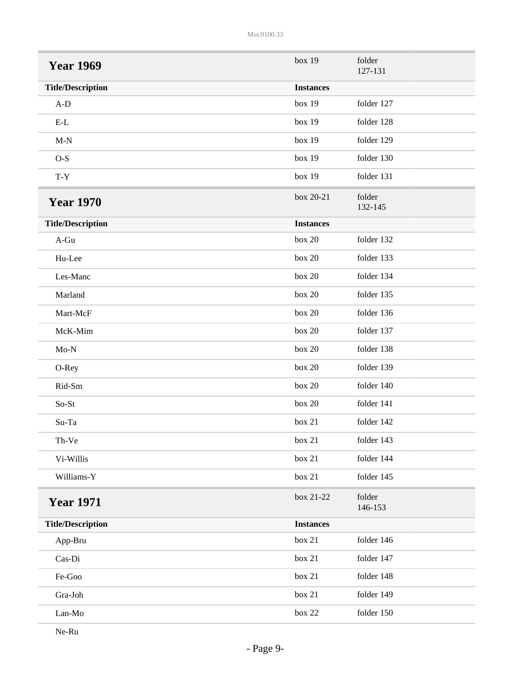<span id="page-8-1"></span><span id="page-8-0"></span>

| <b>Year 1969</b>         | box 19           | folder<br>127-131 |
|--------------------------|------------------|-------------------|
| <b>Title/Description</b> | <b>Instances</b> |                   |
| $A-D$                    | box 19           | folder 127        |
| $E-L$                    | box 19           | folder 128        |
| $M-N$                    | box 19           | folder 129        |
| $O-S$                    | box 19           | folder 130        |
| $T - Y$                  | box 19           | folder 131        |
| <b>Year 1970</b>         | box 20-21        | folder<br>132-145 |
| <b>Title/Description</b> | <b>Instances</b> |                   |
| A-Gu                     | box 20           | folder 132        |
| Hu-Lee                   | box 20           | folder 133        |
| Les-Manc                 | box 20           | folder 134        |
| Marland                  | box 20           | folder 135        |
| Mart-McF                 | box 20           | folder 136        |
| McK-Mim                  | box 20           | folder 137        |
| $Mo-N$                   | box 20           | folder 138        |
| O-Rey                    | box 20           | folder 139        |
| Rid-Sm                   | box 20           | folder 140        |
| So-St                    | box 20           | folder 141        |
| Su-Ta                    | box 21           | folder 142        |
| Th-Ve                    | box 21           | folder 143        |
| Vi-Willis                | box 21           | folder 144        |
| Williams-Y               | box 21           | folder 145        |
| <b>Year 1971</b>         | box 21-22        | folder<br>146-153 |
| <b>Title/Description</b> | <b>Instances</b> |                   |
| App-Bru                  | box 21           | folder 146        |
| Cas-Di                   | box 21           | folder 147        |
| Fe-Goo                   | box 21           | folder 148        |
| Gra-Joh                  | box 21           | folder 149        |
| Lan-Mo                   | box $22$         | folder 150        |

<span id="page-8-2"></span>Ne-Ru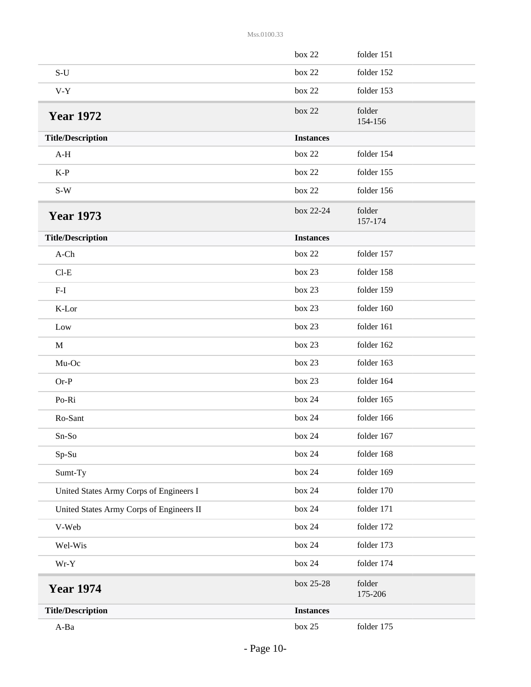<span id="page-9-2"></span><span id="page-9-1"></span><span id="page-9-0"></span>

|                                          | box 22           | folder 151        |
|------------------------------------------|------------------|-------------------|
| $S-U$                                    | box 22           | folder 152        |
| $V-Y$                                    | box 22           | folder 153        |
| <b>Year 1972</b>                         | box 22           | folder<br>154-156 |
| <b>Title/Description</b>                 | <b>Instances</b> |                   |
| $A-H$                                    | box 22           | folder 154        |
| $K-P$                                    | box 22           | folder 155        |
| $S-W$                                    | box 22           | folder 156        |
| <b>Year 1973</b>                         | box 22-24        | folder<br>157-174 |
| <b>Title/Description</b>                 | <b>Instances</b> |                   |
| $A$ -Ch                                  | box 22           | folder 157        |
| $Cl-E$                                   | box 23           | folder 158        |
| $F-I$                                    | box 23           | folder 159        |
| K-Lor                                    | box 23           | folder 160        |
| Low                                      | box 23           | folder 161        |
| $\mathbf{M}$                             | box 23           | folder 162        |
| Mu-Oc                                    | box 23           | folder 163        |
| $Or-P$                                   | box 23           | folder 164        |
| Po-Ri                                    | box 24           | folder 165        |
| Ro-Sant                                  | box 24           | folder 166        |
| $Sn-So$                                  | box 24           | folder 167        |
| Sp-Su                                    | box 24           | folder 168        |
| Sumt-Ty                                  | box 24           | folder 169        |
| United States Army Corps of Engineers I  | box 24           | folder 170        |
| United States Army Corps of Engineers II | box 24           | folder 171        |
| V-Web                                    | box 24           | folder 172        |
| Wel-Wis                                  | box 24           | folder 173        |
| $Wr-Y$                                   | box 24           | folder 174        |
| <b>Year 1974</b>                         | box 25-28        | folder<br>175-206 |
| <b>Title/Description</b>                 | <b>Instances</b> |                   |
| $A-Ba$                                   | box 25           | folder 175        |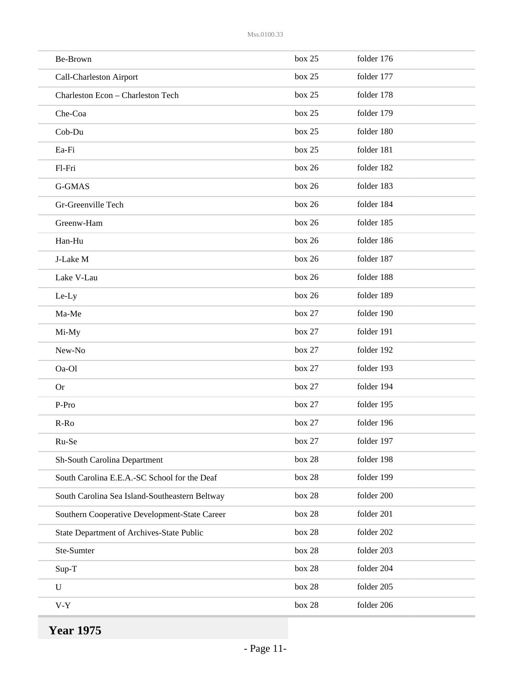| Be-Brown                                       | box 25   | folder 176 |
|------------------------------------------------|----------|------------|
| Call-Charleston Airport                        | box 25   | folder 177 |
| Charleston Econ - Charleston Tech              | box 25   | folder 178 |
| Che-Coa                                        | box 25   | folder 179 |
| Cob-Du                                         | box 25   | folder 180 |
| Ea-Fi                                          | box 25   | folder 181 |
| Fl-Fri                                         | box 26   | folder 182 |
| G-GMAS                                         | box 26   | folder 183 |
| Gr-Greenville Tech                             | box 26   | folder 184 |
| Greenw-Ham                                     | box 26   | folder 185 |
| Han-Hu                                         | box 26   | folder 186 |
| J-Lake M                                       | box 26   | folder 187 |
| Lake V-Lau                                     | box 26   | folder 188 |
| Le-Ly                                          | box 26   | folder 189 |
| Ma-Me                                          | box 27   | folder 190 |
| Mi-My                                          | box 27   | folder 191 |
| New-No                                         | box 27   | folder 192 |
| Oa-Ol                                          | box 27   | folder 193 |
| <b>Or</b>                                      | box 27   | folder 194 |
| P-Pro                                          | box 27   | folder 195 |
| $R-Ro$                                         | box 27   | folder 196 |
| Ru-Se                                          | box 27   | folder 197 |
| Sh-South Carolina Department                   | box $28$ | folder 198 |
| South Carolina E.E.A.-SC School for the Deaf   | box $28$ | folder 199 |
| South Carolina Sea Island-Southeastern Beltway | box 28   | folder 200 |
| Southern Cooperative Development-State Career  | box 28   | folder 201 |
| State Department of Archives-State Public      | box $28$ | folder 202 |
| Ste-Sumter                                     | box $28$ | folder 203 |
| Sup-T                                          | box $28$ | folder 204 |
| $\mathbf U$                                    | box $28$ | folder 205 |
| $V-Y$                                          | box $28$ | folder 206 |
|                                                |          |            |

<span id="page-10-0"></span>**Year 1975**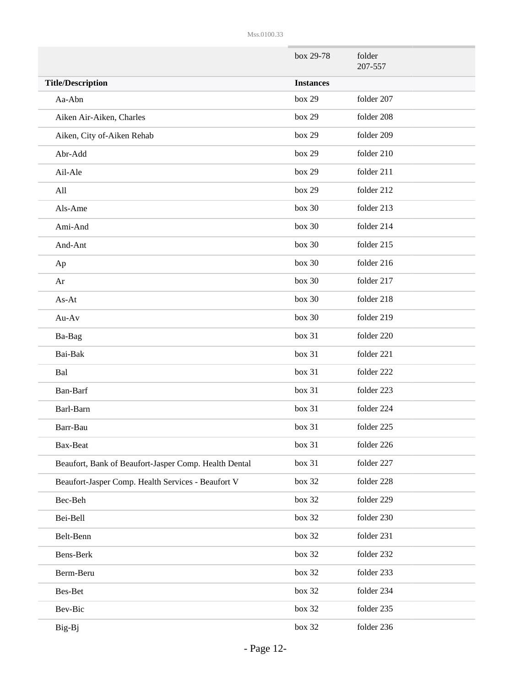|                                                       | box 29-78        | folder<br>207-557 |
|-------------------------------------------------------|------------------|-------------------|
| <b>Title/Description</b>                              | <b>Instances</b> |                   |
| Aa-Abn                                                | box 29           | folder 207        |
| Aiken Air-Aiken, Charles                              | box 29           | folder 208        |
| Aiken, City of-Aiken Rehab                            | box 29           | folder 209        |
| Abr-Add                                               | box 29           | folder 210        |
| Ail-Ale                                               | box 29           | folder 211        |
| All                                                   | box 29           | folder 212        |
| Als-Ame                                               | box 30           | folder 213        |
| Ami-And                                               | box 30           | folder 214        |
| And-Ant                                               | box 30           | folder 215        |
| Ap                                                    | box 30           | folder 216        |
| Ar                                                    | box 30           | folder 217        |
| As-At                                                 | box 30           | folder 218        |
| Au-Av                                                 | box 30           | folder 219        |
| Ba-Bag                                                | box 31           | folder 220        |
| Bai-Bak                                               | box 31           | folder 221        |
| Bal                                                   | box 31           | folder 222        |
| Ban-Barf                                              | box 31           | folder 223        |
| Barl-Barn                                             | box 31           | folder 224        |
| Barr-Bau                                              | box 31           | folder 225        |
| Bax-Beat                                              | box 31           | folder 226        |
| Beaufort, Bank of Beaufort-Jasper Comp. Health Dental | box 31           | folder 227        |
| Beaufort-Jasper Comp. Health Services - Beaufort V    | box 32           | folder 228        |
| Bec-Beh                                               | box 32           | folder 229        |
| Bei-Bell                                              | box 32           | folder 230        |
| Belt-Benn                                             | box 32           | folder 231        |
| Bens-Berk                                             | box 32           | folder 232        |
| Berm-Beru                                             | box 32           | folder 233        |
| Bes-Bet                                               | box 32           | folder 234        |
| Bev-Bic                                               | box 32           | folder 235        |
| Big-Bj                                                | box 32           | folder 236        |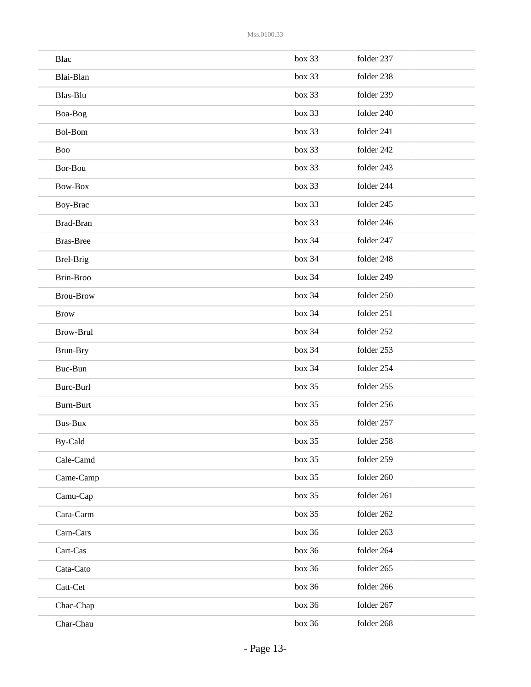| Blac             | box 33 | folder 237 |
|------------------|--------|------------|
| Blai-Blan        | box 33 | folder 238 |
| Blas-Blu         | box 33 | folder 239 |
| Boa-Bog          | box 33 | folder 240 |
| Bol-Bom          | box 33 | folder 241 |
| <b>Boo</b>       | box 33 | folder 242 |
| Bor-Bou          | box 33 | folder 243 |
| Bow-Box          | box 33 | folder 244 |
| Boy-Brac         | box 33 | folder 245 |
| Brad-Bran        | box 33 | folder 246 |
| <b>Bras-Bree</b> | box 34 | folder 247 |
| Brel-Brig        | box~34 | folder 248 |
| Brin-Broo        | box~34 | folder 249 |
| <b>Brou-Brow</b> | box 34 | folder 250 |
| <b>Brow</b>      | box~34 | folder 251 |
| <b>Brow-Brul</b> | box 34 | folder 252 |
| Brun-Bry         | box~34 | folder 253 |
| Buc-Bun          | box 34 | folder 254 |
| Burc-Burl        | box 35 | folder 255 |
| <b>Burn-Burt</b> | box 35 | folder 256 |
| Bus-Bux          | box 35 | folder 257 |
| By-Cald          | box 35 | folder 258 |
| Cale-Camd        | box 35 | folder 259 |
| Came-Camp        | box 35 | folder 260 |
| Camu-Cap         | box 35 | folder 261 |
| Cara-Carm        | box 35 | folder 262 |
| Carn-Cars        | box 36 | folder 263 |
| Cart-Cas         | box 36 | folder 264 |
| Cata-Cato        | box 36 | folder 265 |
| Catt-Cet         | box 36 | folder 266 |
| Chac-Chap        | box 36 | folder 267 |
| Char-Chau        | box 36 | folder 268 |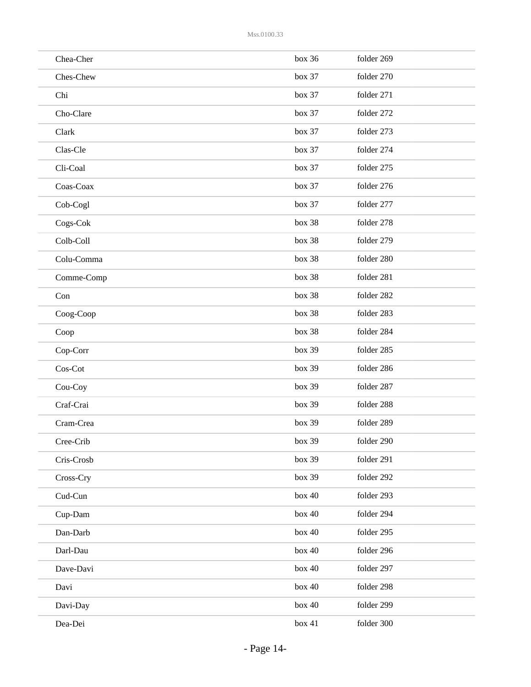| Chea-Cher  | box 36 | folder 269 |
|------------|--------|------------|
| Ches-Chew  | box 37 | folder 270 |
| Chi        | box 37 | folder 271 |
| Cho-Clare  | box 37 | folder 272 |
| Clark      | box 37 | folder 273 |
| Clas-Cle   | box 37 | folder 274 |
| Cli-Coal   | box 37 | folder 275 |
| Coas-Coax  | box 37 | folder 276 |
| Cob-Cogl   | box 37 | folder 277 |
| Cogs-Cok   | box 38 | folder 278 |
| Colb-Coll  | box 38 | folder 279 |
| Colu-Comma | box 38 | folder 280 |
| Comme-Comp | box 38 | folder 281 |
| Con        | box 38 | folder 282 |
| Coog-Coop  | box 38 | folder 283 |
| Coop       | box 38 | folder 284 |
| $Cop-Corr$ | box 39 | folder 285 |
| Cos-Cot    | box 39 | folder 286 |
| Cou-Coy    | box 39 | folder 287 |
| Craf-Crai  | box 39 | folder 288 |
| Cram-Crea  | box 39 | folder 289 |
| Cree-Crib  | box 39 | folder 290 |
| Cris-Crosb | box 39 | folder 291 |
| Cross-Cry  | box 39 | folder 292 |
| Cud-Cun    | box 40 | folder 293 |
| Cup-Dam    | box 40 | folder 294 |
| Dan-Darb   | box 40 | folder 295 |
| Darl-Dau   | box 40 | folder 296 |
| Dave-Davi  | box 40 | folder 297 |
| Davi       | box 40 | folder 298 |
| Davi-Day   | box 40 | folder 299 |
| Dea-Dei    | box 41 | folder 300 |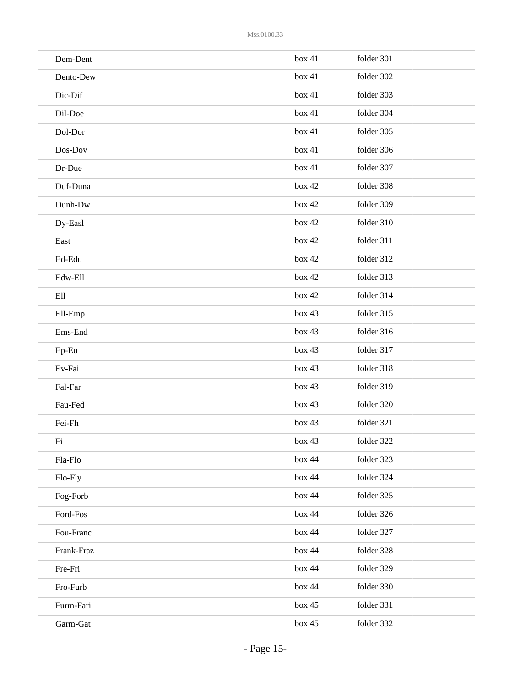| Dem-Dent   | box 41   | folder 301 |
|------------|----------|------------|
| Dento-Dew  | box 41   | folder 302 |
| Dic-Dif    | box 41   | folder 303 |
| Dil-Doe    | box 41   | folder 304 |
| Dol-Dor    | box 41   | folder 305 |
| Dos-Dov    | box 41   | folder 306 |
| Dr-Due     | box 41   | folder 307 |
| Duf-Duna   | box 42   | folder 308 |
| Dunh-Dw    | box 42   | folder 309 |
| Dy-Easl    | box 42   | folder 310 |
| East       | box 42   | folder 311 |
| Ed-Edu     | box 42   | folder 312 |
| Edw-Ell    | box 42   | folder 313 |
| Ell        | box 42   | folder 314 |
| Ell-Emp    | box 43   | folder 315 |
| Ems-End    | box 43   | folder 316 |
| Ep-Eu      | box 43   | folder 317 |
| Ev-Fai     | box 43   | folder 318 |
| Fal-Far    | box 43   | folder 319 |
| Fau-Fed    | box 43   | folder 320 |
| Fei-Fh     | box 43   | folder 321 |
| $\rm{Fi}$  | box 43   | folder 322 |
| Fla-Flo    | box 44   | folder 323 |
| Flo-Fly    | box 44   | folder 324 |
| Fog-Forb   | box 44   | folder 325 |
| Ford-Fos   | box 44   | folder 326 |
| Fou-Franc  | box 44   | folder 327 |
| Frank-Fraz | box 44   | folder 328 |
| Fre-Fri    | box 44   | folder 329 |
| Fro-Furb   | box 44   | folder 330 |
| Furm-Fari  | box 45   | folder 331 |
| Garm-Gat   | box $45$ | folder 332 |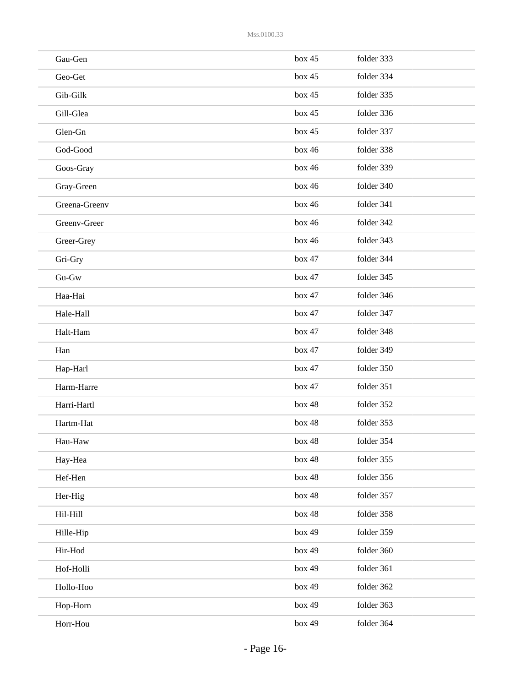| Gau-Gen       | box 45 | folder 333 |
|---------------|--------|------------|
| Geo-Get       | box 45 | folder 334 |
| Gib-Gilk      | box 45 | folder 335 |
| Gill-Glea     | box 45 | folder 336 |
| Glen-Gn       | box 45 | folder 337 |
| God-Good      | box 46 | folder 338 |
| Goos-Gray     | box 46 | folder 339 |
| Gray-Green    | box 46 | folder 340 |
| Greena-Greenv | box 46 | folder 341 |
| Greenv-Greer  | box 46 | folder 342 |
| Greer-Grey    | box 46 | folder 343 |
| Gri-Gry       | box 47 | folder 344 |
| $Gu-Gw$       | box 47 | folder 345 |
| Haa-Hai       | box 47 | folder 346 |
| Hale-Hall     | box 47 | folder 347 |
| Halt-Ham      | box 47 | folder 348 |
| Han           | box 47 | folder 349 |
| Hap-Harl      | box 47 | folder 350 |
| Harm-Harre    | box 47 | folder 351 |
| Harri-Hartl   | box 48 | folder 352 |
| Hartm-Hat     | box 48 | folder 353 |
| Hau-Haw       | box 48 | folder 354 |
| Hay-Hea       | box 48 | folder 355 |
| Hef-Hen       | box 48 | folder 356 |
| Her-Hig       | box 48 | folder 357 |
| Hil-Hill      | box 48 | folder 358 |
| Hille-Hip     | box 49 | folder 359 |
| Hir-Hod       | box 49 | folder 360 |
| Hof-Holli     | box 49 | folder 361 |
| Hollo-Hoo     | box 49 | folder 362 |
| Hop-Horn      | box 49 | folder 363 |
| Horr-Hou      | box 49 | folder 364 |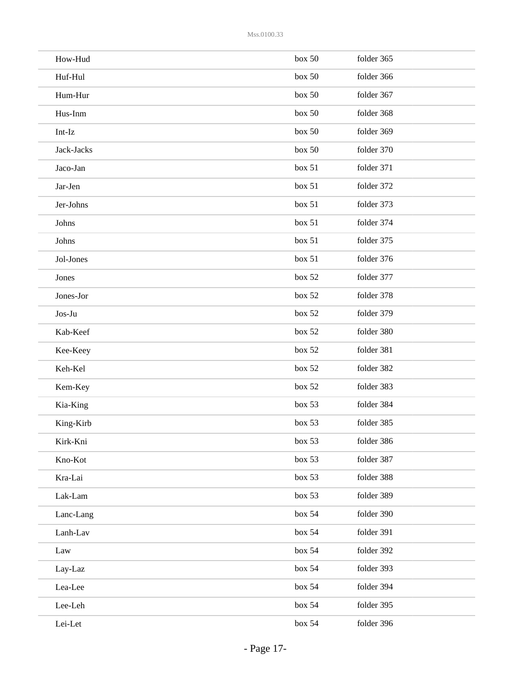| How-Hud    | box 50 | folder 365 |
|------------|--------|------------|
| Huf-Hul    | box~50 | folder 366 |
| Hum-Hur    | box 50 | folder 367 |
| Hus-Inm    | box 50 | folder 368 |
| Int-Iz     | box 50 | folder 369 |
| Jack-Jacks | box 50 | folder 370 |
| Jaco-Jan   | box 51 | folder 371 |
| Jar-Jen    | box 51 | folder 372 |
| Jer-Johns  | box 51 | folder 373 |
| Johns      | box 51 | folder 374 |
| Johns      | box~51 | folder 375 |
| Jol-Jones  | box 51 | folder 376 |
| Jones      | box 52 | folder 377 |
| Jones-Jor  | box 52 | folder 378 |
| Jos-Ju     | box 52 | folder 379 |
| Kab-Keef   | box 52 | folder 380 |
| Kee-Keey   | box 52 | folder 381 |
| Keh-Kel    | box 52 | folder 382 |
| Kem-Key    | box 52 | folder 383 |
| Kia-King   | box 53 | folder 384 |
| King-Kirb  | box 53 | folder 385 |
| Kirk-Kni   | box 53 | folder 386 |
| Kno-Kot    | box 53 | folder 387 |
| Kra-Lai    | box 53 | folder 388 |
| Lak-Lam    | box 53 | folder 389 |
| Lanc-Lang  | box~54 | folder 390 |
| Lanh-Lav   | box~54 | folder 391 |
| Law        | box~54 | folder 392 |
| Lay-Laz    | box~54 | folder 393 |
| Lea-Lee    | box~54 | folder 394 |
| Lee-Leh    | box~54 | folder 395 |
| Lei-Let    | box~54 | folder 396 |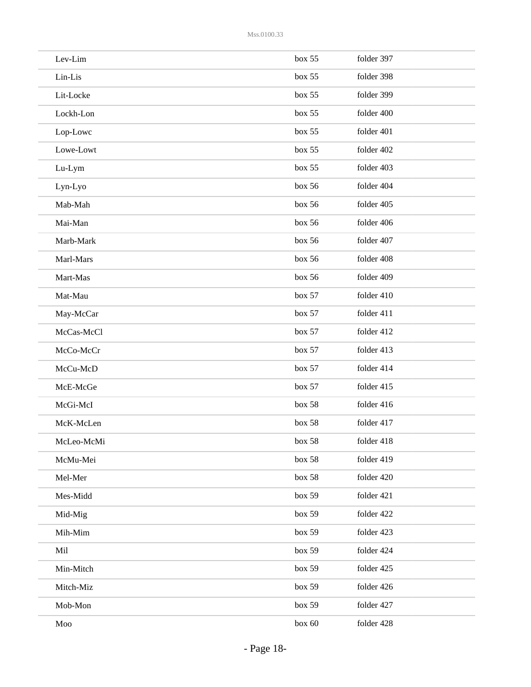| Lev-Lim    | box 55     | folder 397 |
|------------|------------|------------|
| Lin-Lis    | box 55     | folder 398 |
| Lit-Locke  | box 55     | folder 399 |
| Lockh-Lon  | box 55     | folder 400 |
| Lop-Lowc   | box 55     | folder 401 |
| Lowe-Lowt  | box 55     | folder 402 |
| Lu-Lym     | box 55     | folder 403 |
| Lyn-Lyo    | box 56     | folder 404 |
| Mab-Mah    | box 56     | folder 405 |
| Mai-Man    | box 56     | folder 406 |
| Marb-Mark  | box~56     | folder 407 |
| Marl-Mars  | box~56     | folder 408 |
| Mart-Mas   | box 56     | folder 409 |
| Mat-Mau    | box 57     | folder 410 |
| May-McCar  | box 57     | folder 411 |
| McCas-McCl | box 57     | folder 412 |
| McCo-McCr  | box 57     | folder 413 |
| McCu-McD   | box 57     | folder 414 |
| McE-McGe   | box 57     | folder 415 |
| McGi-McI   | box 58     | folder 416 |
| McK-McLen  | box 58     | folder 417 |
| McLeo-McMi | box 58     | folder 418 |
| McMu-Mei   | box 58     | folder 419 |
| Mel-Mer    | box 58     | folder 420 |
| Mes-Midd   | box 59     | folder 421 |
| Mid-Mig    | box 59     | folder 422 |
| Mih-Mim    | box 59     | folder 423 |
| Mil        | box 59     | folder 424 |
| Min-Mitch  | box 59     | folder 425 |
| Mitch-Miz  | box 59     | folder 426 |
| Mob-Mon    | box 59     | folder 427 |
| Moo        | box $60\,$ | folder 428 |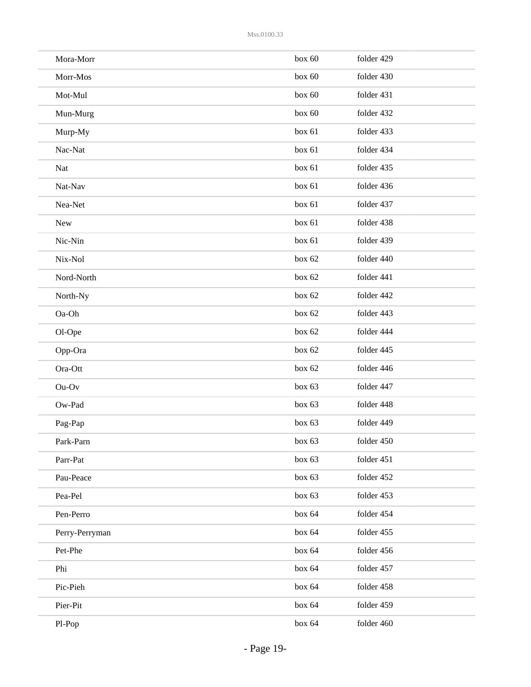| Mora-Morr      | box 60   | folder 429 |
|----------------|----------|------------|
| Morr-Mos       | box 60   | folder 430 |
| Mot-Mul        | box 60   | folder 431 |
| Mun-Murg       | box 60   | folder 432 |
| Murp-My        | box 61   | folder 433 |
| Nac-Nat        | box 61   | folder 434 |
| Nat            | box 61   | folder 435 |
| Nat-Nav        | box 61   | folder 436 |
| Nea-Net        | box 61   | folder 437 |
| New            | box 61   | folder 438 |
| Nic-Nin        | box 61   | folder 439 |
| Nix-Nol        | box 62   | folder 440 |
| Nord-North     | box 62   | folder 441 |
| North-Ny       | box 62   | folder 442 |
| Oa-Oh          | box 62   | folder 443 |
| Ol-Ope         | box 62   | folder 444 |
| Opp-Ora        | box $62$ | folder 445 |
| Ora-Ott        | box 62   | folder 446 |
| $Ou-Ov$        | box $63$ | folder 447 |
| Ow-Pad         | box $63$ | folder 448 |
| Pag-Pap        | box 63   | folder 449 |
| Park-Parn      | box 63   | folder 450 |
| Parr-Pat       | box 63   | folder 451 |
| Pau-Peace      | box 63   | folder 452 |
| Pea-Pel        | box 63   | folder 453 |
| Pen-Perro      | box 64   | folder 454 |
| Perry-Perryman | box 64   | folder 455 |
| Pet-Phe        | box 64   | folder 456 |
| Phi            | box 64   | folder 457 |
| Pic-Pieh       | box 64   | folder 458 |
| Pier-Pit       | box 64   | folder 459 |
| Pl-Pop         | box 64   | folder 460 |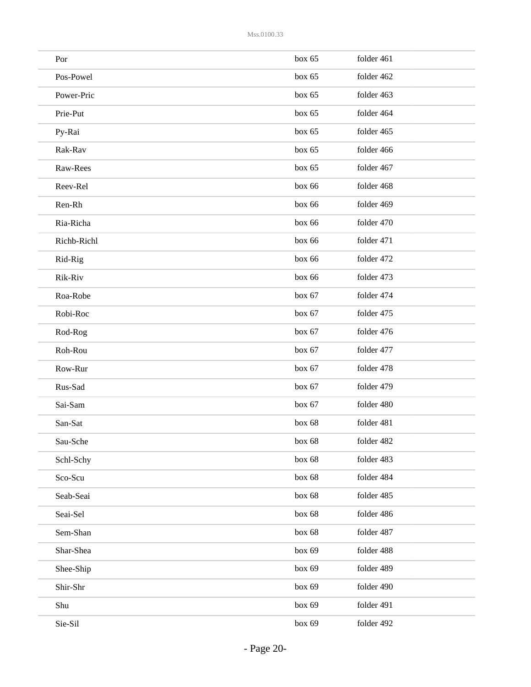| Por         | box 65   | folder 461 |
|-------------|----------|------------|
| Pos-Powel   | box 65   | folder 462 |
| Power-Pric  | box 65   | folder 463 |
| Prie-Put    | box 65   | folder 464 |
| Py-Rai      | box $65$ | folder 465 |
| Rak-Rav     | box 65   | folder 466 |
| Raw-Rees    | box 65   | folder 467 |
| Reev-Rel    | box 66   | folder 468 |
| Ren-Rh      | box 66   | folder 469 |
| Ria-Richa   | box 66   | folder 470 |
| Richb-Richl | box 66   | folder 471 |
| Rid-Rig     | box 66   | folder 472 |
| Rik-Riv     | box 66   | folder 473 |
| Roa-Robe    | box $67$ | folder 474 |
| Robi-Roc    | box $67$ | folder 475 |
| Rod-Rog     | box $67$ | folder 476 |
| Roh-Rou     | box $67$ | folder 477 |
| Row-Rur     | box $67$ | folder 478 |
| Rus-Sad     | box $67$ | folder 479 |
| Sai-Sam     | box 67   | folder 480 |
| San-Sat     | box 68   | folder 481 |
| Sau-Sche    | box 68   | folder 482 |
| Schl-Schy   | box 68   | folder 483 |
| Sco-Scu     | box 68   | folder 484 |
| Seab-Seai   | box 68   | folder 485 |
| Seai-Sel    | box 68   | folder 486 |
| Sem-Shan    | box 68   | folder 487 |
| Shar-Shea   | box 69   | folder 488 |
| Shee-Ship   | box 69   | folder 489 |
| Shir-Shr    | box 69   | folder 490 |
| Shu         | box 69   | folder 491 |
| Sie-Sil     | box 69   | folder 492 |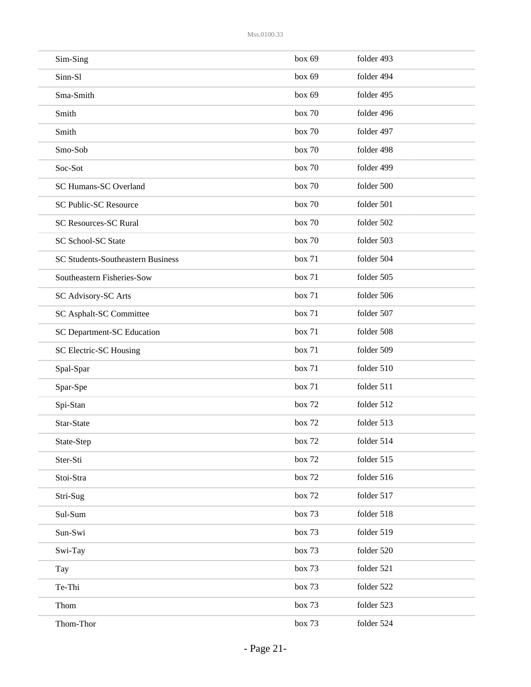| Sim-Sing                                 | box 69 | folder 493 |
|------------------------------------------|--------|------------|
| Sinn-Sl                                  | box 69 | folder 494 |
| Sma-Smith                                | box 69 | folder 495 |
| Smith                                    | box 70 | folder 496 |
| Smith                                    | box 70 | folder 497 |
| Smo-Sob                                  | box 70 | folder 498 |
| Soc-Sot                                  | box 70 | folder 499 |
| SC Humans-SC Overland                    | box 70 | folder 500 |
| <b>SC Public-SC Resource</b>             | box 70 | folder 501 |
| <b>SC Resources-SC Rural</b>             | box 70 | folder 502 |
| SC School-SC State                       | box 70 | folder 503 |
| <b>SC Students-Southeastern Business</b> | box 71 | folder 504 |
| Southeastern Fisheries-Sow               | box 71 | folder 505 |
| SC Advisory-SC Arts                      | box 71 | folder 506 |
| SC Asphalt-SC Committee                  | box 71 | folder 507 |
| SC Department-SC Education               | box 71 | folder 508 |
| SC Electric-SC Housing                   | box 71 | folder 509 |
| Spal-Spar                                | box 71 | folder 510 |
| Spar-Spe                                 | box 71 | folder 511 |
| Spi-Stan                                 | box 72 | folder 512 |
| Star-State                               | box 72 | folder 513 |
| State-Step                               | box 72 | folder 514 |
| Ster-Sti                                 | box 72 | folder 515 |
| Stoi-Stra                                | box 72 | folder 516 |
| Stri-Sug                                 | box 72 | folder 517 |
| Sul-Sum                                  | box 73 | folder 518 |
| Sun-Swi                                  | box 73 | folder 519 |
| Swi-Tay                                  | box 73 | folder 520 |
| Tay                                      | box 73 | folder 521 |
| Te-Thi                                   | box 73 | folder 522 |
| Thom                                     | box 73 | folder 523 |
| Thom-Thor                                | box 73 | folder 524 |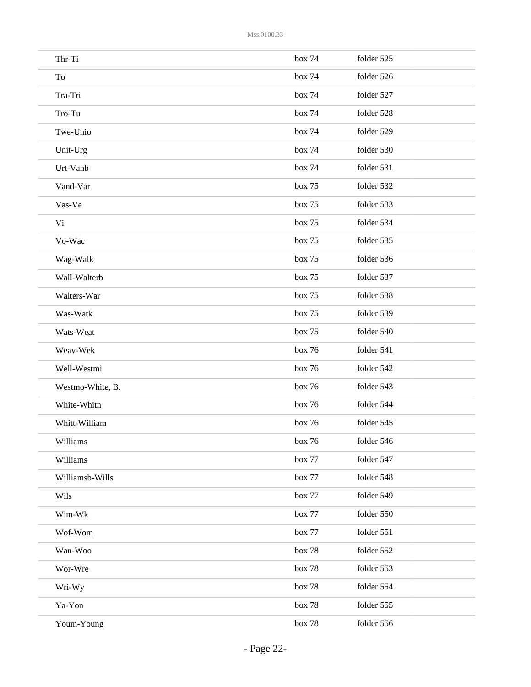| Thr-Ti           | box 74 | folder 525 |
|------------------|--------|------------|
| To               | box 74 | folder 526 |
| Tra-Tri          | box 74 | folder 527 |
| Tro-Tu           | box 74 | folder 528 |
| Twe-Unio         | box 74 | folder 529 |
| Unit-Urg         | box 74 | folder 530 |
| Urt-Vanb         | box 74 | folder 531 |
| Vand-Var         | box 75 | folder 532 |
| Vas-Ve           | box 75 | folder 533 |
| Vi               | box 75 | folder 534 |
| Vo-Wac           | box 75 | folder 535 |
| Wag-Walk         | box 75 | folder 536 |
| Wall-Walterb     | box 75 | folder 537 |
| Walters-War      | box 75 | folder 538 |
| Was-Watk         | box 75 | folder 539 |
| Wats-Weat        | box 75 | folder 540 |
| Weav-Wek         | box 76 | folder 541 |
| Well-Westmi      | box 76 | folder 542 |
| Westmo-White, B. | box 76 | folder 543 |
| White-Whitn      | box 76 | folder 544 |
| Whitt-William    | box 76 | folder 545 |
| Williams         | box 76 | folder 546 |
| Williams         | box 77 | folder 547 |
| Williamsb-Wills  | box 77 | folder 548 |
| Wils             | box 77 | folder 549 |
| Wim-Wk           | box 77 | folder 550 |
| Wof-Wom          | box 77 | folder 551 |
| Wan-Woo          | box 78 | folder 552 |
| Wor-Wre          | box 78 | folder 553 |
| Wri-Wy           | box 78 | folder 554 |
| Ya-Yon           | box 78 | folder 555 |
| Youm-Young       | box 78 | folder 556 |